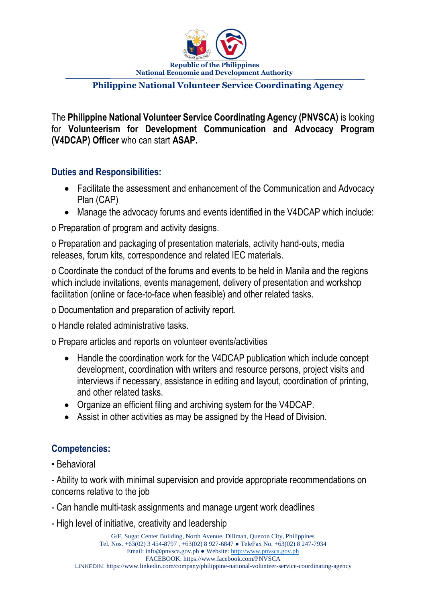

#### **Philippine National Volunteer Service Coordinating Agency**

The **Philippine National Volunteer Service Coordinating Agency (PNVSCA)** is looking for **Volunteerism for Development Communication and Advocacy Program (V4DCAP) Officer** who can start **ASAP.**

#### **Duties and Responsibilities:**

- Facilitate the assessment and enhancement of the Communication and Advocacy Plan (CAP)
- Manage the advocacy forums and events identified in the V4DCAP which include:

o Preparation of program and activity designs.

o Preparation and packaging of presentation materials, activity hand-outs, media releases, forum kits, correspondence and related IEC materials.

o Coordinate the conduct of the forums and events to be held in Manila and the regions which include invitations, events management, delivery of presentation and workshop facilitation (online or face-to-face when feasible) and other related tasks.

o Documentation and preparation of activity report.

o Handle related administrative tasks.

o Prepare articles and reports on volunteer events/activities

- Handle the coordination work for the V4DCAP publication which include concept development, coordination with writers and resource persons, project visits and interviews if necessary, assistance in editing and layout, coordination of printing, and other related tasks.
- Organize an efficient filing and archiving system for the V4DCAP.
- Assist in other activities as may be assigned by the Head of Division.

## **Competencies:**

• Behavioral

- Ability to work with minimal supervision and provide appropriate recommendations on concerns relative to the job

- Can handle multi-task assignments and manage urgent work deadlines
- High level of initiative, creativity and leadership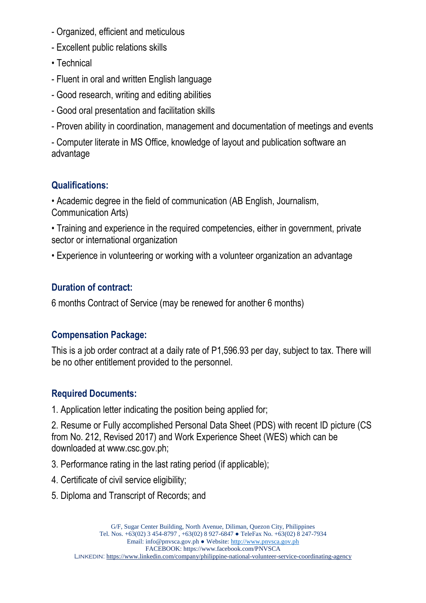- Organized, efficient and meticulous
- Excellent public relations skills
- Technical
- Fluent in oral and written English language
- Good research, writing and editing abilities
- Good oral presentation and facilitation skills
- Proven ability in coordination, management and documentation of meetings and events
- Computer literate in MS Office, knowledge of layout and publication software an advantage

# **Qualifications:**

• Academic degree in the field of communication (AB English, Journalism, Communication Arts)

• Training and experience in the required competencies, either in government, private sector or international organization

• Experience in volunteering or working with a volunteer organization an advantage

## **Duration of contract:**

6 months Contract of Service (may be renewed for another 6 months)

## **Compensation Package:**

This is a job order contract at a daily rate of P1,596.93 per day, subject to tax. There will be no other entitlement provided to the personnel.

## **Required Documents:**

1. Application letter indicating the position being applied for;

2. Resume or Fully accomplished Personal Data Sheet (PDS) with recent ID picture (CS from No. 212, Revised 2017) and Work Experience Sheet (WES) which can be downloaded at www.csc.gov.ph;

- 3. Performance rating in the last rating period (if applicable);
- 4. Certificate of civil service eligibility;
- 5. Diploma and Transcript of Records; and